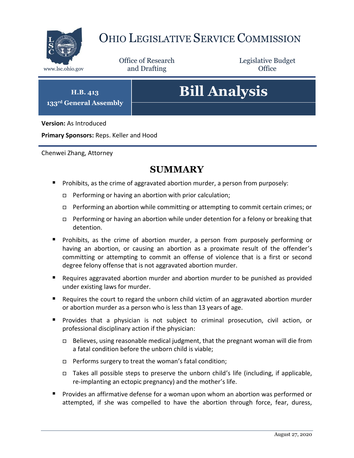

# OHIO LEGISLATIVE SERVICE COMMISSION

Office of Research www.lsc.ohio.gov **and Drafting Office** 

Legislative Budget

**H.B. 413 133rd General Assembly**

# **Bill Analysis**

**Version:** As Introduced

**Primary Sponsors:** Reps. Keller and Hood

Chenwei Zhang, Attorney

## **SUMMARY**

- **Prohibits, as the crime of aggravated abortion murder, a person from purposely:** 
	- $\Box$  Performing or having an abortion with prior calculation;
	- Performing an abortion while committing or attempting to commit certain crimes; or
	- □ Performing or having an abortion while under detention for a felony or breaking that detention.
- **Prohibits, as the crime of abortion murder, a person from purposely performing or** having an abortion, or causing an abortion as a proximate result of the offender's committing or attempting to commit an offense of violence that is a first or second degree felony offense that is not aggravated abortion murder.
- Requires aggravated abortion murder and abortion murder to be punished as provided under existing laws for murder.
- Requires the court to regard the unborn child victim of an aggravated abortion murder or abortion murder as a person who is less than 13 years of age.
- Provides that a physician is not subject to criminal prosecution, civil action, or professional disciplinary action if the physician:
	- $\Box$  Believes, using reasonable medical judgment, that the pregnant woman will die from a fatal condition before the unborn child is viable;
	- □ Performs surgery to treat the woman's fatal condition;
	- $\Box$  Takes all possible steps to preserve the unborn child's life (including, if applicable, re-implanting an ectopic pregnancy) and the mother's life.
- **Provides an affirmative defense for a woman upon whom an abortion was performed or** attempted, if she was compelled to have the abortion through force, fear, duress,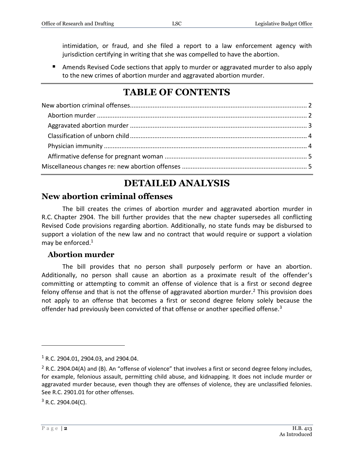intimidation, or fraud, and she filed a report to a law enforcement agency with jurisdiction certifying in writing that she was compelled to have the abortion.

■ Amends Revised Code sections that apply to murder or aggravated murder to also apply to the new crimes of abortion murder and aggravated abortion murder.

# **TABLE OF CONTENTS**

# **DETAILED ANALYSIS**

### <span id="page-1-0"></span>**New abortion criminal offenses**

The bill creates the crimes of abortion murder and aggravated abortion murder in R.C. Chapter 2904. The bill further provides that the new chapter supersedes all conflicting Revised Code provisions regarding abortion. Additionally, no state funds may be disbursed to support a violation of the new law and no contract that would require or support a violation may be enforced. $1$ 

#### <span id="page-1-1"></span>**Abortion murder**

The bill provides that no person shall purposely perform or have an abortion. Additionally, no person shall cause an abortion as a proximate result of the offender's committing or attempting to commit an offense of violence that is a first or second degree felony offense and that is not the offense of aggravated abortion murder.<sup>2</sup> This provision does not apply to an offense that becomes a first or second degree felony solely because the offender had previously been convicted of that offense or another specified offense.<sup>3</sup>

 $1$  R.C. 2904.01, 2904.03, and 2904.04.

 $2$  R.C. 2904.04(A) and (B). An "offense of violence" that involves a first or second degree felony includes, for example, felonious assault, permitting child abuse, and kidnapping. It does not include murder or aggravated murder because, even though they are offenses of violence, they are unclassified felonies. See R.C. 2901.01 for other offenses.

 $3$  R.C. 2904.04(C).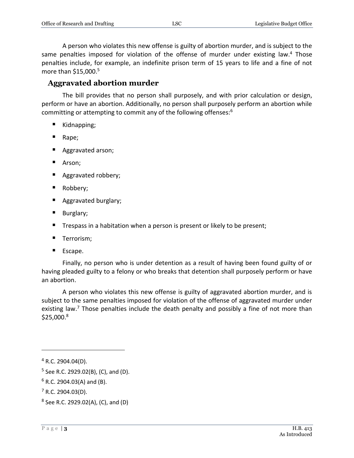A person who violates this new offense is guilty of abortion murder, and is subject to the same penalties imposed for violation of the offense of murder under existing law.<sup>4</sup> Those penalties include, for example, an indefinite prison term of 15 years to life and a fine of not more than  $$15,000.<sup>5</sup>$ 

#### <span id="page-2-0"></span>**Aggravated abortion murder**

The bill provides that no person shall purposely, and with prior calculation or design, perform or have an abortion. Additionally, no person shall purposely perform an abortion while committing or attempting to commit any of the following offenses:<sup>6</sup>

- Kidnapping;
- Rape;
- Aggravated arson;
- Arson;
- **Aggravated robbery;**
- Robbery;
- **Aggravated burglary;**
- **Burglary**;
- Trespass in a habitation when a person is present or likely to be present;
- **Terrorism;**
- **Escape.**

Finally, no person who is under detention as a result of having been found guilty of or having pleaded guilty to a felony or who breaks that detention shall purposely perform or have an abortion.

A person who violates this new offense is guilty of aggravated abortion murder, and is subject to the same penalties imposed for violation of the offense of aggravated murder under existing law.<sup>7</sup> Those penalties include the death penalty and possibly a fine of not more than  $$25,000.<sup>8</sup>$ 

 $4$  R.C. 2904.04(D).

<sup>&</sup>lt;sup>5</sup> See R.C. 2929.02(B), (C), and (D).

 $6$  R.C. 2904.03(A) and (B).

 $7$  R.C. 2904.03(D).

<sup>&</sup>lt;sup>8</sup> See R.C. 2929.02(A), (C), and (D)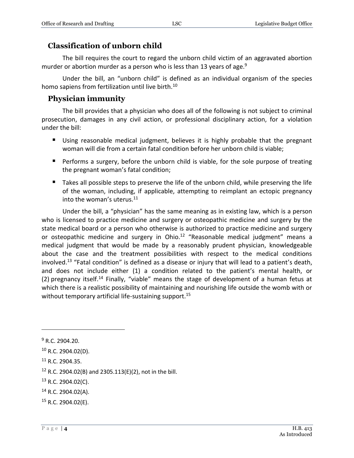#### <span id="page-3-0"></span>**Classification of unborn child**

The bill requires the court to regard the unborn child victim of an aggravated abortion murder or abortion murder as a person who is less than 13 years of age.<sup>9</sup>

Under the bill, an "unborn child" is defined as an individual organism of the species homo sapiens from fertilization until live birth.<sup>10</sup>

#### <span id="page-3-1"></span>**Physician immunity**

The bill provides that a physician who does all of the following is not subject to criminal prosecution, damages in any civil action, or professional disciplinary action, for a violation under the bill:

- Using reasonable medical judgment, believes it is highly probable that the pregnant woman will die from a certain fatal condition before her unborn child is viable;
- **Performs a surgery, before the unborn child is viable, for the sole purpose of treating** the pregnant woman's fatal condition;
- $\blacksquare$  Takes all possible steps to preserve the life of the unborn child, while preserving the life of the woman, including, if applicable, attempting to reimplant an ectopic pregnancy into the woman's uterus.<sup>11</sup>

Under the bill, a "physician" has the same meaning as in existing law, which is a person who is licensed to practice medicine and surgery or osteopathic medicine and surgery by the state medical board or a person who otherwise is authorized to practice medicine and surgery or osteopathic medicine and surgery in Ohio. $12$  "Reasonable medical judgment" means a medical judgment that would be made by a reasonably prudent physician, knowledgeable about the case and the treatment possibilities with respect to the medical conditions involved.<sup>13</sup> "Fatal condition" is defined as a disease or injury that will lead to a patient's death, and does not include either (1) a condition related to the patient's mental health, or (2) pregnancy itself.<sup>14</sup> Finally, "viable" means the stage of development of a human fetus at which there is a realistic possibility of maintaining and nourishing life outside the womb with or without temporary artificial life-sustaining support.<sup>15</sup>

 $\overline{a}$ 

<sup>11</sup> R.C. 2904.35.

<sup>12</sup> R.C. 2904.02(B) and 2305.113(E)(2), not in the bill.

- <sup>13</sup> R.C. 2904.02(C).
- <sup>14</sup> R.C. 2904.02(A).
- <sup>15</sup> R.C. 2904.02(E).

 $9$  R.C. 2904.20.

 $10$  R.C. 2904.02(D).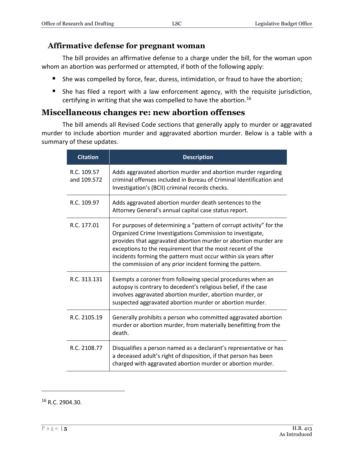#### <span id="page-4-0"></span>**Affirmative defense for pregnant woman**

The bill provides an affirmative defense to a charge under the bill, for the woman upon whom an abortion was performed or attempted, if both of the following apply:

- She was compelled by force, fear, duress, intimidation, or fraud to have the abortion;
- She has filed a report with a law enforcement agency, with the requisite jurisdiction, certifying in writing that she was compelled to have the abortion.<sup>16</sup>

#### <span id="page-4-1"></span>**Miscellaneous changes re: new abortion offenses**

The bill amends all Revised Code sections that generally apply to murder or aggravated murder to include abortion murder and aggravated abortion murder. Below is a table with a summary of these updates.

| <b>Citation</b>            | <b>Description</b>                                                                                                                                                                                                                                                                                                                                                                               |
|----------------------------|--------------------------------------------------------------------------------------------------------------------------------------------------------------------------------------------------------------------------------------------------------------------------------------------------------------------------------------------------------------------------------------------------|
| R.C. 109.57<br>and 109.572 | Adds aggravated abortion murder and abortion murder regarding<br>criminal offenses included in Bureau of Criminal Identification and<br>Investigation's (BCII) criminal records checks.                                                                                                                                                                                                          |
| R.C. 109.97                | Adds aggravated abortion murder death sentences to the<br>Attorney General's annual capital case status report.                                                                                                                                                                                                                                                                                  |
| R.C. 177.01                | For purposes of determining a "pattern of corrupt activity" for the<br>Organized Crime Investigations Commission to investigate,<br>provides that aggravated abortion murder or abortion murder are<br>exceptions to the requirement that the most recent of the<br>incidents forming the pattern must occur within six years after<br>the commission of any prior incident forming the pattern. |
| R.C. 313.131               | Exempts a coroner from following special procedures when an<br>autopsy is contrary to decedent's religious belief, if the case<br>involves aggravated abortion murder, abortion murder, or<br>suspected aggravated abortion murder or abortion murder.                                                                                                                                           |
| R.C. 2105.19               | Generally prohibits a person who committed aggravated abortion<br>murder or abortion murder, from materially benefitting from the<br>death.                                                                                                                                                                                                                                                      |
| R.C. 2108.77               | Disqualifies a person named as a declarant's representative or has<br>a deceased adult's right of disposition, if that person has been<br>charged with aggravated abortion murder or abortion murder.                                                                                                                                                                                            |

<sup>16</sup> R.C. 2904.30.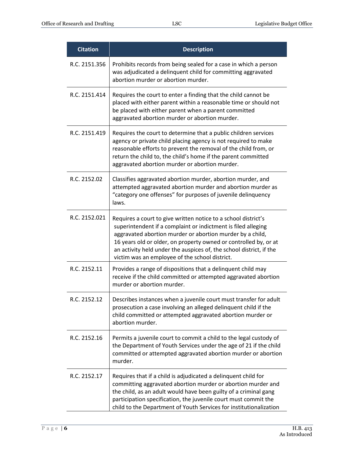| <b>Citation</b> | <b>Description</b>                                                                                                                                                                                                                                                                                                                                                                        |
|-----------------|-------------------------------------------------------------------------------------------------------------------------------------------------------------------------------------------------------------------------------------------------------------------------------------------------------------------------------------------------------------------------------------------|
| R.C. 2151.356   | Prohibits records from being sealed for a case in which a person<br>was adjudicated a delinquent child for committing aggravated<br>abortion murder or abortion murder.                                                                                                                                                                                                                   |
| R.C. 2151.414   | Requires the court to enter a finding that the child cannot be<br>placed with either parent within a reasonable time or should not<br>be placed with either parent when a parent committed<br>aggravated abortion murder or abortion murder.                                                                                                                                              |
| R.C. 2151.419   | Requires the court to determine that a public children services<br>agency or private child placing agency is not required to make<br>reasonable efforts to prevent the removal of the child from, or<br>return the child to, the child's home if the parent committed<br>aggravated abortion murder or abortion murder.                                                                   |
| R.C. 2152.02    | Classifies aggravated abortion murder, abortion murder, and<br>attempted aggravated abortion murder and abortion murder as<br>"category one offenses" for purposes of juvenile delinquency<br>laws.                                                                                                                                                                                       |
| R.C. 2152.021   | Requires a court to give written notice to a school district's<br>superintendent if a complaint or indictment is filed alleging<br>aggravated abortion murder or abortion murder by a child,<br>16 years old or older, on property owned or controlled by, or at<br>an activity held under the auspices of, the school district, if the<br>victim was an employee of the school district. |
| R.C. 2152.11    | Provides a range of dispositions that a delinquent child may<br>receive if the child committed or attempted aggravated abortion<br>murder or abortion murder.                                                                                                                                                                                                                             |
| R.C. 2152.12    | Describes instances when a juvenile court must transfer for adult<br>prosecution a case involving an alleged delinquent child if the<br>child committed or attempted aggravated abortion murder or<br>abortion murder.                                                                                                                                                                    |
| R.C. 2152.16    | Permits a juvenile court to commit a child to the legal custody of<br>the Department of Youth Services under the age of 21 if the child<br>committed or attempted aggravated abortion murder or abortion<br>murder.                                                                                                                                                                       |
| R.C. 2152.17    | Requires that if a child is adjudicated a delinquent child for<br>committing aggravated abortion murder or abortion murder and<br>the child, as an adult would have been guilty of a criminal gang<br>participation specification, the juvenile court must commit the<br>child to the Department of Youth Services for institutionalization                                               |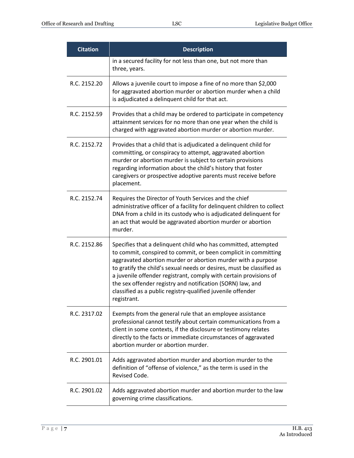| <b>Citation</b> | <b>Description</b>                                                                                                                                                                                                                                                                                                                                                                                                                                                                          |
|-----------------|---------------------------------------------------------------------------------------------------------------------------------------------------------------------------------------------------------------------------------------------------------------------------------------------------------------------------------------------------------------------------------------------------------------------------------------------------------------------------------------------|
|                 | in a secured facility for not less than one, but not more than<br>three, years.                                                                                                                                                                                                                                                                                                                                                                                                             |
| R.C. 2152.20    | Allows a juvenile court to impose a fine of no more than \$2,000<br>for aggravated abortion murder or abortion murder when a child<br>is adjudicated a delinquent child for that act.                                                                                                                                                                                                                                                                                                       |
| R.C. 2152.59    | Provides that a child may be ordered to participate in competency<br>attainment services for no more than one year when the child is<br>charged with aggravated abortion murder or abortion murder.                                                                                                                                                                                                                                                                                         |
| R.C. 2152.72    | Provides that a child that is adjudicated a delinquent child for<br>committing, or conspiracy to attempt, aggravated abortion<br>murder or abortion murder is subject to certain provisions<br>regarding information about the child's history that foster<br>caregivers or prospective adoptive parents must receive before<br>placement.                                                                                                                                                  |
| R.C. 2152.74    | Requires the Director of Youth Services and the chief<br>administrative officer of a facility for delinquent children to collect<br>DNA from a child in its custody who is adjudicated delinquent for<br>an act that would be aggravated abortion murder or abortion<br>murder.                                                                                                                                                                                                             |
| R.C. 2152.86    | Specifies that a delinquent child who has committed, attempted<br>to commit, conspired to commit, or been complicit in committing<br>aggravated abortion murder or abortion murder with a purpose<br>to gratify the child's sexual needs or desires, must be classified as<br>a juvenile offender registrant, comply with certain provisions of<br>the sex offender registry and notification (SORN) law, and<br>classified as a public registry-qualified juvenile offender<br>registrant. |
| R.C. 2317.02    | Exempts from the general rule that an employee assistance<br>professional cannot testify about certain communications from a<br>client in some contexts, if the disclosure or testimony relates<br>directly to the facts or immediate circumstances of aggravated<br>abortion murder or abortion murder.                                                                                                                                                                                    |
| R.C. 2901.01    | Adds aggravated abortion murder and abortion murder to the<br>definition of "offense of violence," as the term is used in the<br>Revised Code.                                                                                                                                                                                                                                                                                                                                              |
| R.C. 2901.02    | Adds aggravated abortion murder and abortion murder to the law<br>governing crime classifications.                                                                                                                                                                                                                                                                                                                                                                                          |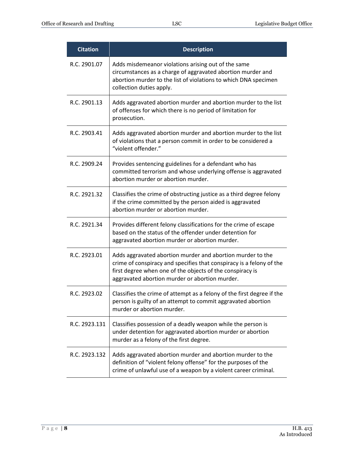| <b>Citation</b> | <b>Description</b>                                                                                                                                                                                                                                |
|-----------------|---------------------------------------------------------------------------------------------------------------------------------------------------------------------------------------------------------------------------------------------------|
| R.C. 2901.07    | Adds misdemeanor violations arising out of the same<br>circumstances as a charge of aggravated abortion murder and<br>abortion murder to the list of violations to which DNA specimen<br>collection duties apply.                                 |
| R.C. 2901.13    | Adds aggravated abortion murder and abortion murder to the list<br>of offenses for which there is no period of limitation for<br>prosecution.                                                                                                     |
| R.C. 2903.41    | Adds aggravated abortion murder and abortion murder to the list<br>of violations that a person commit in order to be considered a<br>"violent offender."                                                                                          |
| R.C. 2909.24    | Provides sentencing guidelines for a defendant who has<br>committed terrorism and whose underlying offense is aggravated<br>abortion murder or abortion murder.                                                                                   |
| R.C. 2921.32    | Classifies the crime of obstructing justice as a third degree felony<br>if the crime committed by the person aided is aggravated<br>abortion murder or abortion murder.                                                                           |
| R.C. 2921.34    | Provides different felony classifications for the crime of escape<br>based on the status of the offender under detention for<br>aggravated abortion murder or abortion murder.                                                                    |
| R.C. 2923.01    | Adds aggravated abortion murder and abortion murder to the<br>crime of conspiracy and specifies that conspiracy is a felony of the<br>first degree when one of the objects of the conspiracy is<br>aggravated abortion murder or abortion murder. |
| R.C. 2923.02    | Classifies the crime of attempt as a felony of the first degree if the<br>person is guilty of an attempt to commit aggravated abortion<br>murder or abortion murder.                                                                              |
| R.C. 2923.131   | Classifies possession of a deadly weapon while the person is<br>under detention for aggravated abortion murder or abortion<br>murder as a felony of the first degree.                                                                             |
| R.C. 2923.132   | Adds aggravated abortion murder and abortion murder to the<br>definition of "violent felony offense" for the purposes of the<br>crime of unlawful use of a weapon by a violent career criminal.                                                   |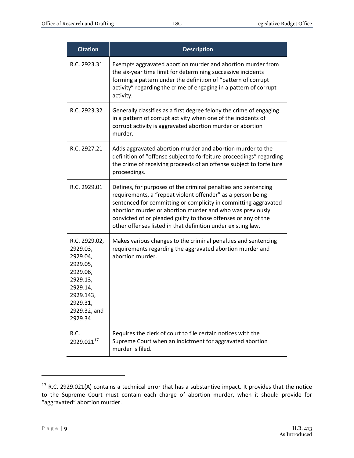| <b>Citation</b>                                                                                                                           | <b>Description</b>                                                                                                                                                                                                                                                                                                                                                                              |
|-------------------------------------------------------------------------------------------------------------------------------------------|-------------------------------------------------------------------------------------------------------------------------------------------------------------------------------------------------------------------------------------------------------------------------------------------------------------------------------------------------------------------------------------------------|
| R.C. 2923.31                                                                                                                              | Exempts aggravated abortion murder and abortion murder from<br>the six-year time limit for determining successive incidents<br>forming a pattern under the definition of "pattern of corrupt<br>activity" regarding the crime of engaging in a pattern of corrupt<br>activity.                                                                                                                  |
| R.C. 2923.32                                                                                                                              | Generally classifies as a first degree felony the crime of engaging<br>in a pattern of corrupt activity when one of the incidents of<br>corrupt activity is aggravated abortion murder or abortion<br>murder.                                                                                                                                                                                   |
| R.C. 2927.21                                                                                                                              | Adds aggravated abortion murder and abortion murder to the<br>definition of "offense subject to forfeiture proceedings" regarding<br>the crime of receiving proceeds of an offense subject to forfeiture<br>proceedings.                                                                                                                                                                        |
| R.C. 2929.01                                                                                                                              | Defines, for purposes of the criminal penalties and sentencing<br>requirements, a "repeat violent offender" as a person being<br>sentenced for committing or complicity in committing aggravated<br>abortion murder or abortion murder and who was previously<br>convicted of or pleaded guilty to those offenses or any of the<br>other offenses listed in that definition under existing law. |
| R.C. 2929.02,<br>2929.03,<br>2929.04,<br>2929.05,<br>2929.06,<br>2929.13,<br>2929.14,<br>2929.143,<br>2929.31,<br>2929.32, and<br>2929.34 | Makes various changes to the criminal penalties and sentencing<br>requirements regarding the aggravated abortion murder and<br>abortion murder.                                                                                                                                                                                                                                                 |
| R.C.<br>2929.02117                                                                                                                        | Requires the clerk of court to file certain notices with the<br>Supreme Court when an indictment for aggravated abortion<br>murder is filed.                                                                                                                                                                                                                                                    |

<sup>&</sup>lt;sup>17</sup> R.C. 2929.021(A) contains a technical error that has a substantive impact. It provides that the notice to the Supreme Court must contain each charge of abortion murder, when it should provide for "aggravated" abortion murder.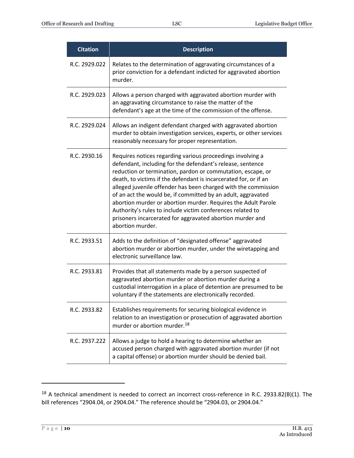| <b>Citation</b> | <b>Description</b>                                                                                                                                                                                                                                                                                                                                                                                                                                                                                                                                                                                            |
|-----------------|---------------------------------------------------------------------------------------------------------------------------------------------------------------------------------------------------------------------------------------------------------------------------------------------------------------------------------------------------------------------------------------------------------------------------------------------------------------------------------------------------------------------------------------------------------------------------------------------------------------|
| R.C. 2929.022   | Relates to the determination of aggravating circumstances of a<br>prior conviction for a defendant indicted for aggravated abortion<br>murder.                                                                                                                                                                                                                                                                                                                                                                                                                                                                |
| R.C. 2929.023   | Allows a person charged with aggravated abortion murder with<br>an aggravating circumstance to raise the matter of the<br>defendant's age at the time of the commission of the offense.                                                                                                                                                                                                                                                                                                                                                                                                                       |
| R.C. 2929.024   | Allows an indigent defendant charged with aggravated abortion<br>murder to obtain investigation services, experts, or other services<br>reasonably necessary for proper representation.                                                                                                                                                                                                                                                                                                                                                                                                                       |
| R.C. 2930.16    | Requires notices regarding various proceedings involving a<br>defendant, including for the defendant's release, sentence<br>reduction or termination, pardon or commutation, escape, or<br>death, to victims if the defendant is incarcerated for, or if an<br>alleged juvenile offender has been charged with the commission<br>of an act the would be, if committed by an adult, aggravated<br>abortion murder or abortion murder. Requires the Adult Parole<br>Authority's rules to include victim conferences related to<br>prisoners incarcerated for aggravated abortion murder and<br>abortion murder. |
| R.C. 2933.51    | Adds to the definition of "designated offense" aggravated<br>abortion murder or abortion murder, under the wiretapping and<br>electronic surveillance law.                                                                                                                                                                                                                                                                                                                                                                                                                                                    |
| R.C. 2933.81    | Provides that all statements made by a person suspected of<br>aggravated abortion murder or abortion murder during a<br>custodial interrogation in a place of detention are presumed to be<br>voluntary if the statements are electronically recorded.                                                                                                                                                                                                                                                                                                                                                        |
| R.C. 2933.82    | Establishes requirements for securing biological evidence in<br>relation to an investigation or prosecution of aggravated abortion<br>murder or abortion murder. <sup>18</sup>                                                                                                                                                                                                                                                                                                                                                                                                                                |
| R.C. 2937.222   | Allows a judge to hold a hearing to determine whether an<br>accused person charged with aggravated abortion murder (if not<br>a capital offense) or abortion murder should be denied bail.                                                                                                                                                                                                                                                                                                                                                                                                                    |

 $18$  A technical amendment is needed to correct an incorrect cross-reference in R.C. 2933.82(B)(1). The bill references "2904.04, or 2904.04." The reference should be "2904.03, or 2904.04."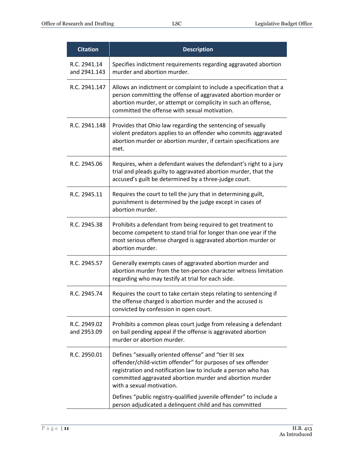| <b>Citation</b>              | <b>Description</b>                                                                                                                                                                                                                                                              |
|------------------------------|---------------------------------------------------------------------------------------------------------------------------------------------------------------------------------------------------------------------------------------------------------------------------------|
| R.C. 2941.14<br>and 2941.143 | Specifies indictment requirements regarding aggravated abortion<br>murder and abortion murder.                                                                                                                                                                                  |
| R.C. 2941.147                | Allows an indictment or complaint to include a specification that a<br>person committing the offense of aggravated abortion murder or<br>abortion murder, or attempt or complicity in such an offense,<br>committed the offense with sexual motivation.                         |
| R.C. 2941.148                | Provides that Ohio law regarding the sentencing of sexually<br>violent predators applies to an offender who commits aggravated<br>abortion murder or abortion murder, if certain specifications are<br>met.                                                                     |
| R.C. 2945.06                 | Requires, when a defendant waives the defendant's right to a jury<br>trial and pleads guilty to aggravated abortion murder, that the<br>accused's guilt be determined by a three-judge court.                                                                                   |
| R.C. 2945.11                 | Requires the court to tell the jury that in determining guilt,<br>punishment is determined by the judge except in cases of<br>abortion murder.                                                                                                                                  |
| R.C. 2945.38                 | Prohibits a defendant from being required to get treatment to<br>become competent to stand trial for longer than one year if the<br>most serious offense charged is aggravated abortion murder or<br>abortion murder.                                                           |
| R.C. 2945.57                 | Generally exempts cases of aggravated abortion murder and<br>abortion murder from the ten-person character witness limitation<br>regarding who may testify at trial for each side.                                                                                              |
| R.C. 2945.74                 | Requires the court to take certain steps relating to sentencing if<br>the offense charged is abortion murder and the accused is<br>convicted by confession in open court.                                                                                                       |
| R.C. 2949.02<br>and 2953.09  | Prohibits a common pleas court judge from releasing a defendant<br>on bail pending appeal if the offense is aggravated abortion<br>murder or abortion murder.                                                                                                                   |
| R.C. 2950.01                 | Defines "sexually oriented offense" and "tier III sex<br>offender/child-victim offender" for purposes of sex offender<br>registration and notification law to include a person who has<br>committed aggravated abortion murder and abortion murder<br>with a sexual motivation. |
|                              | Defines "public registry-qualified juvenile offender" to include a<br>person adjudicated a delinquent child and has committed                                                                                                                                                   |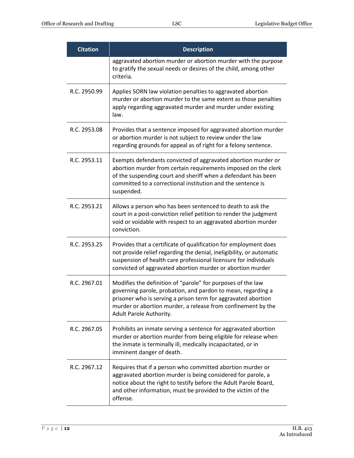| <b>Citation</b> | <b>Description</b>                                                                                                                                                                                                                                                                      |
|-----------------|-----------------------------------------------------------------------------------------------------------------------------------------------------------------------------------------------------------------------------------------------------------------------------------------|
|                 | aggravated abortion murder or abortion murder with the purpose<br>to gratify the sexual needs or desires of the child, among other<br>criteria.                                                                                                                                         |
| R.C. 2950.99    | Applies SORN law violation penalties to aggravated abortion<br>murder or abortion murder to the same extent as those penalties<br>apply regarding aggravated murder and murder under existing<br>law.                                                                                   |
| R.C. 2953.08    | Provides that a sentence imposed for aggravated abortion murder<br>or abortion murder is not subject to review under the law<br>regarding grounds for appeal as of right for a felony sentence.                                                                                         |
| R.C. 2953.11    | Exempts defendants convicted of aggravated abortion murder or<br>abortion murder from certain requirements imposed on the clerk<br>of the suspending court and sheriff when a defendant has been<br>committed to a correctional institution and the sentence is<br>suspended.           |
| R.C. 2953.21    | Allows a person who has been sentenced to death to ask the<br>court in a post-conviction relief petition to render the judgment<br>void or voidable with respect to an aggravated abortion murder<br>conviction.                                                                        |
| R.C. 2953.25    | Provides that a certificate of qualification for employment does<br>not provide relief regarding the denial, ineligibility, or automatic<br>suspension of health care professional licensure for individuals<br>convicted of aggravated abortion murder or abortion murder              |
| R.C. 2967.01    | Modifies the definition of "parole" for purposes of the law<br>governing parole, probation, and pardon to mean, regarding a<br>prisoner who is serving a prison term for aggravated abortion<br>murder or abortion murder, a release from confinement by the<br>Adult Parole Authority. |
| R.C. 2967.05    | Prohibits an inmate serving a sentence for aggravated abortion<br>murder or abortion murder from being eligible for release when<br>the inmate is terminally ill, medically incapacitated, or in<br>imminent danger of death.                                                           |
| R.C. 2967.12    | Requires that if a person who committed abortion murder or<br>aggravated abortion murder is being considered for parole, a<br>notice about the right to testify before the Adult Parole Board,<br>and other information, must be provided to the victim of the<br>offense.              |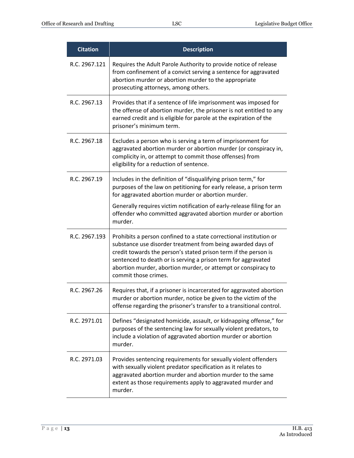| <b>Citation</b> | <b>Description</b>                                                                                                                                                                                                                                                                                                                                             |
|-----------------|----------------------------------------------------------------------------------------------------------------------------------------------------------------------------------------------------------------------------------------------------------------------------------------------------------------------------------------------------------------|
| R.C. 2967.121   | Requires the Adult Parole Authority to provide notice of release<br>from confinement of a convict serving a sentence for aggravated<br>abortion murder or abortion murder to the appropriate<br>prosecuting attorneys, among others.                                                                                                                           |
| R.C. 2967.13    | Provides that if a sentence of life imprisonment was imposed for<br>the offense of abortion murder, the prisoner is not entitled to any<br>earned credit and is eligible for parole at the expiration of the<br>prisoner's minimum term.                                                                                                                       |
| R.C. 2967.18    | Excludes a person who is serving a term of imprisonment for<br>aggravated abortion murder or abortion murder (or conspiracy in,<br>complicity in, or attempt to commit those offenses) from<br>eligibility for a reduction of sentence.                                                                                                                        |
| R.C. 2967.19    | Includes in the definition of "disqualifying prison term," for<br>purposes of the law on petitioning for early release, a prison term<br>for aggravated abortion murder or abortion murder.                                                                                                                                                                    |
|                 | Generally requires victim notification of early-release filing for an<br>offender who committed aggravated abortion murder or abortion<br>murder.                                                                                                                                                                                                              |
| R.C. 2967.193   | Prohibits a person confined to a state correctional institution or<br>substance use disorder treatment from being awarded days of<br>credit towards the person's stated prison term if the person is<br>sentenced to death or is serving a prison term for aggravated<br>abortion murder, abortion murder, or attempt or conspiracy to<br>commit those crimes. |
| R.C. 2967.26    | Requires that, if a prisoner is incarcerated for aggravated abortion<br>murder or abortion murder, notice be given to the victim of the<br>offense regarding the prisoner's transfer to a transitional control.                                                                                                                                                |
| R.C. 2971.01    | Defines "designated homicide, assault, or kidnapping offense," for<br>purposes of the sentencing law for sexually violent predators, to<br>include a violation of aggravated abortion murder or abortion<br>murder.                                                                                                                                            |
| R.C. 2971.03    | Provides sentencing requirements for sexually violent offenders<br>with sexually violent predator specification as it relates to<br>aggravated abortion murder and abortion murder to the same<br>extent as those requirements apply to aggravated murder and<br>murder.                                                                                       |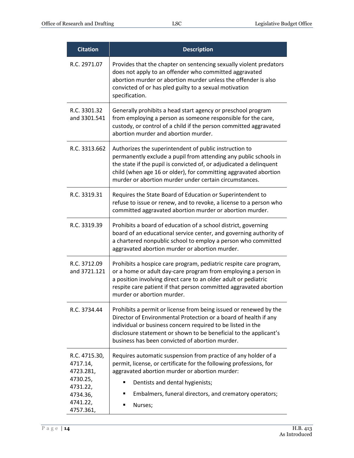| <b>Citation</b>                                                                                     | <b>Description</b>                                                                                                                                                                                                                                                                                                              |
|-----------------------------------------------------------------------------------------------------|---------------------------------------------------------------------------------------------------------------------------------------------------------------------------------------------------------------------------------------------------------------------------------------------------------------------------------|
| R.C. 2971.07                                                                                        | Provides that the chapter on sentencing sexually violent predators<br>does not apply to an offender who committed aggravated<br>abortion murder or abortion murder unless the offender is also<br>convicted of or has pled guilty to a sexual motivation<br>specification.                                                      |
| R.C. 3301.32<br>and 3301.541                                                                        | Generally prohibits a head start agency or preschool program<br>from employing a person as someone responsible for the care,<br>custody, or control of a child if the person committed aggravated<br>abortion murder and abortion murder.                                                                                       |
| R.C. 3313.662                                                                                       | Authorizes the superintendent of public instruction to<br>permanently exclude a pupil from attending any public schools in<br>the state if the pupil is convicted of, or adjudicated a delinquent<br>child (when age 16 or older), for committing aggravated abortion<br>murder or abortion murder under certain circumstances. |
| R.C. 3319.31                                                                                        | Requires the State Board of Education or Superintendent to<br>refuse to issue or renew, and to revoke, a license to a person who<br>committed aggravated abortion murder or abortion murder.                                                                                                                                    |
| R.C. 3319.39                                                                                        | Prohibits a board of education of a school district, governing<br>board of an educational service center, and governing authority of<br>a chartered nonpublic school to employ a person who committed<br>aggravated abortion murder or abortion murder.                                                                         |
| R.C. 3712.09<br>and 3721.121                                                                        | Prohibits a hospice care program, pediatric respite care program,<br>or a home or adult day-care program from employing a person in<br>a position involving direct care to an older adult or pediatric<br>respite care patient if that person committed aggravated abortion<br>murder or abortion murder.                       |
| R.C. 3734.44                                                                                        | Prohibits a permit or license from being issued or renewed by the<br>Director of Environmental Protection or a board of health if any<br>individual or business concern required to be listed in the<br>disclosure statement or shown to be beneficial to the applicant's<br>business has been convicted of abortion murder.    |
| R.C. 4715.30,<br>4717.14,<br>4723.281,<br>4730.25,<br>4731.22,<br>4734.36,<br>4741.22,<br>4757.361, | Requires automatic suspension from practice of any holder of a<br>permit, license, or certificate for the following professions, for<br>aggravated abortion murder or abortion murder:<br>Dentists and dental hygienists;<br>Embalmers, funeral directors, and crematory operators;<br>Nurses;                                  |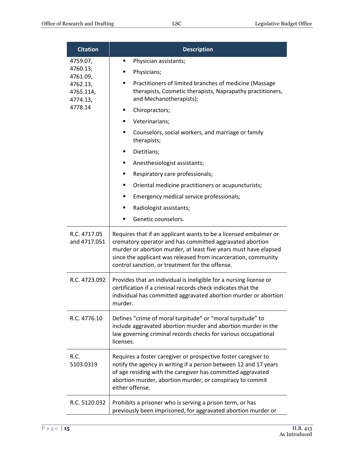| <b>Citation</b>                                                       | <b>Description</b>                                                                                                                                                                                                                                                                                                    |
|-----------------------------------------------------------------------|-----------------------------------------------------------------------------------------------------------------------------------------------------------------------------------------------------------------------------------------------------------------------------------------------------------------------|
| 4759.07,<br>4760.13,<br>4761.09,<br>4762.13,<br>4765.114,<br>4774.13, | Physician assistants;                                                                                                                                                                                                                                                                                                 |
|                                                                       | Physicians;<br>п                                                                                                                                                                                                                                                                                                      |
|                                                                       | Practitioners of limited branches of medicine (Massage<br>٠<br>therapists, Cosmetic therapists, Naprapathy practitioners,<br>and Mechanotherapists);                                                                                                                                                                  |
| 4778.14                                                               | Chiropractors;<br>п                                                                                                                                                                                                                                                                                                   |
|                                                                       | Veterinarians;<br>٠                                                                                                                                                                                                                                                                                                   |
|                                                                       | Counselors, social workers, and marriage or family<br>■<br>therapists;                                                                                                                                                                                                                                                |
|                                                                       | Dietitians;<br>٠                                                                                                                                                                                                                                                                                                      |
|                                                                       | Anesthesiologist assistants;<br>٠                                                                                                                                                                                                                                                                                     |
|                                                                       | Respiratory care professionals;<br>٠                                                                                                                                                                                                                                                                                  |
|                                                                       | Oriental medicine practitioners or acupuncturists;<br>٠                                                                                                                                                                                                                                                               |
|                                                                       | Emergency medical service professionals;<br>٠                                                                                                                                                                                                                                                                         |
|                                                                       | Radiologist assistants;<br>٠                                                                                                                                                                                                                                                                                          |
|                                                                       | Genetic counselors.<br>$\blacksquare$                                                                                                                                                                                                                                                                                 |
| R.C. 4717.05<br>and 4717.051                                          | Requires that if an applicant wants to be a licensed embalmer or<br>crematory operator and has committed aggravated abortion<br>murder or abortion murder, at least five years must have elapsed<br>since the applicant was released from incarceration, community<br>control sanction, or treatment for the offense. |
| R.C. 4723.092                                                         | Provides that an individual is ineligible for a nursing license or<br>certification if a criminal records check indicates that the<br>individual has committed aggravated abortion murder or abortion<br>murder.                                                                                                      |
| R.C. 4776.10                                                          | Defines "crime of moral turpitude" or "moral turpitude" to<br>include aggravated abortion murder and abortion murder in the<br>law governing criminal records checks for various occupational<br>licenses.                                                                                                            |
| R.C.<br>5103.0319                                                     | Requires a foster caregiver or prospective foster caregiver to<br>notify the agency in writing if a person between 12 and 17 years<br>of age residing with the caregiver has committed aggravated<br>abortion murder, abortion murder, or conspiracy to commit<br>either offense.                                     |
| R.C. 5120.032                                                         | Prohibits a prisoner who is serving a prison term, or has<br>previously been imprisoned, for aggravated abortion murder or                                                                                                                                                                                            |